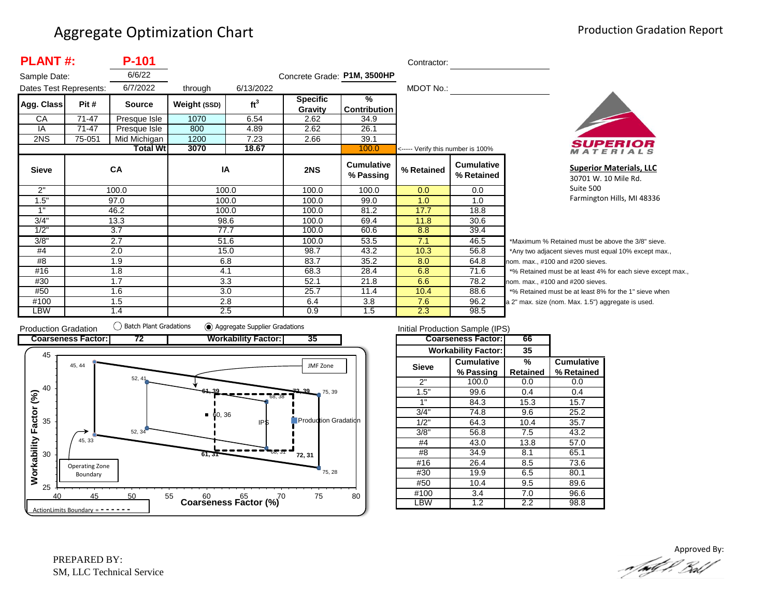| <b>PLANT#:</b>         |           | P-101           |              |                 |                             |                                | Contractor:                       |                                 |            |
|------------------------|-----------|-----------------|--------------|-----------------|-----------------------------|--------------------------------|-----------------------------------|---------------------------------|------------|
| Sample Date:           |           | 6/6/22          |              |                 | Concrete Grade: P1M, 3500HP |                                |                                   |                                 |            |
| Dates Test Represents: |           | 6/7/2022        | through      | 6/13/2022       |                             |                                | MDOT No.:                         |                                 |            |
| Agg. Class             | Pit #     | <b>Source</b>   | Weight (SSD) | ft <sup>3</sup> | <b>Specific</b><br>Gravity  | %<br><b>Contribution</b>       |                                   |                                 |            |
| СA                     | $71 - 47$ | Presque Isle    | 1070         | 6.54            | 2.62                        | 34.9                           |                                   |                                 |            |
| IA                     | 71-47     | Presque Isle    | 800          | 4.89            | 2.62                        | 26.1                           |                                   |                                 |            |
| 2NS                    | 75-051    | Mid Michigan    | 1200         | 7.23            | 2.66                        | 39.1                           |                                   |                                 |            |
|                        |           | <b>Total Wt</b> | 3070         | 18.67           |                             | 100.0                          | <----- Verify this number is 100% |                                 |            |
| <b>Sieve</b>           |           | CA              | IA           |                 | 2NS                         | <b>Cumulative</b><br>% Passing | % Retained                        | <b>Cumulative</b><br>% Retained |            |
| 2"                     |           | 100.0           |              | 100.0           | 100.0                       | 100.0                          | 0.0                               | 0.0                             |            |
| 1.5"                   |           | 97.0            |              | 100.0           | 100.0                       | 99.0                           | 1.0                               | 1.0                             |            |
| 1"                     |           | 46.2            |              | 100.0           | 100.0                       | 81.2                           | 17.7                              | 18.8                            |            |
| 3/4"                   |           | 13.3            |              | 98.6            | 100.0                       | 69.4                           | 11.8                              | 30.6                            |            |
| 1/2"                   |           | 3.7             |              | 77.7            | 100.0                       | 60.6                           | 8.8                               | 39.4                            |            |
| 3/8"                   |           | 2.7             |              | 51.6            | 100.0                       | 53.5                           | 7.1                               | 46.5                            | *1         |
| #4                     |           | 2.0             |              | 15.0            | 98.7                        | 43.2                           | 10.3                              | 56.8                            | $^{\star}$ |
| #8                     |           | 1.9             |              | 6.8             | 83.7                        | 35.2                           | 8.0                               | 64.8                            | nor        |
| #16                    |           | 1.8             | 4.1          |                 | 68.3                        | 28.4                           | 6.8                               | 71.6                            | $*c$       |
| #30                    |           | 1.7             |              | 3.3             | 52.1                        | 21.8                           | 6.6                               | 78.2                            | nor        |
| #50                    |           | 1.6             |              | 3.0             | 25.7                        | 11.4                           | 10.4                              | 88.6                            | $*c$       |
| #100                   |           | 1.5             |              | 2.8             | 6.4                         | 3.8                            | 7.6                               | 96.2                            | a 2        |
| LBW                    |           | 1.4             |              | 2.5             | 0.9                         | 1.5                            | 2.3                               | 98.5                            |            |



**Superior Materials, LLC** 30701 W. 10 Mile Rd. Suite 500 Farmington Hills, MI 48336

Maximum % Retained must be above the 3/8" sieve. Any two adjacent sieves must equal 10% except max.,  $em.$  max.,  $#100$  and  $#200$  sieves. % Retained must be at least 4% for each sieve except max.,  $km.$  max.,  $#100$  and  $#200$  sieves. % Retained must be at least 8% for the 1" sieve when 2" max. size (nom. Max. 1.5") aggregate is used.



| Initial Production Sample (IPS) |                            |          |                   |  |  |  |  |  |
|---------------------------------|----------------------------|----------|-------------------|--|--|--|--|--|
|                                 | <b>Coarseness Factor:</b>  | 66       |                   |  |  |  |  |  |
|                                 | <b>Workability Factor:</b> | 35       |                   |  |  |  |  |  |
| <b>Sieve</b>                    | <b>Cumulative</b>          | %        | <b>Cumulative</b> |  |  |  |  |  |
|                                 | % Passing                  | Retained | % Retained        |  |  |  |  |  |
| 2"                              | 100.0                      | 0.0      | 0.0               |  |  |  |  |  |
| 1.5"                            | 99.6                       | 0.4      | 0.4               |  |  |  |  |  |
| 1"                              | 84.3                       | 15.3     | 15.7              |  |  |  |  |  |
| 3/4"                            | 74.8                       | 9.6      | 25.2              |  |  |  |  |  |
| 1/2"                            | 64.3                       | 10.4     | 35.7              |  |  |  |  |  |
| 3/8"                            | 56.8                       | 7.5      | 43.2              |  |  |  |  |  |
| #4                              | 43.0                       | 13.8     | 57.0              |  |  |  |  |  |
| #8                              | 34.9                       | 8.1      | 65.1              |  |  |  |  |  |
| #16                             | 26.4                       | 8.5      | 73.6              |  |  |  |  |  |
| #30                             | 19.9                       | 6.5      | 80.1              |  |  |  |  |  |
| #50                             | 10.4                       | 9.5      | 89.6              |  |  |  |  |  |
| #100                            | 3.4                        | 7.0      | 96.6              |  |  |  |  |  |
| BW                              | 1.2                        | 2.2      | 98.8              |  |  |  |  |  |

Approved By:<br>Approved By: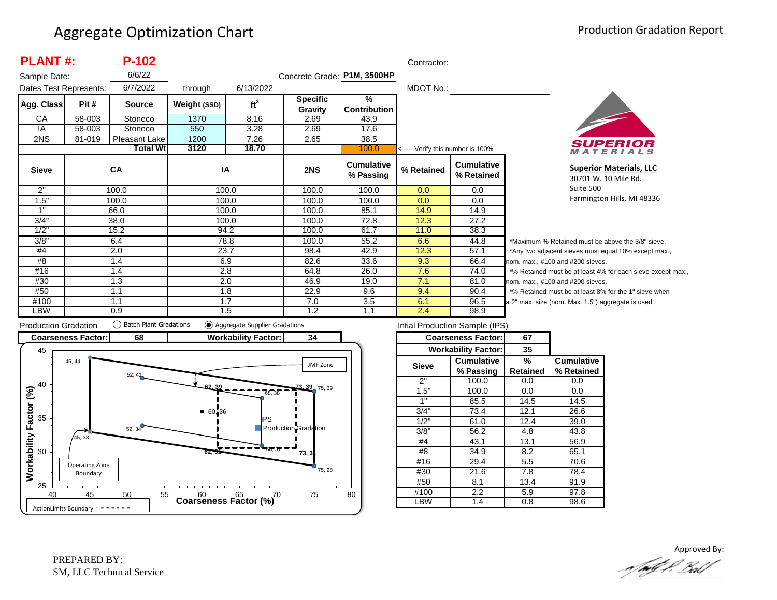|              | <b>PLANT#:</b><br>$P-102$<br>Contractor: |                 |                      |                 |                             |                                |                                   |                                 |      |
|--------------|------------------------------------------|-----------------|----------------------|-----------------|-----------------------------|--------------------------------|-----------------------------------|---------------------------------|------|
| Sample Date: |                                          | 6/6/22          |                      |                 | Concrete Grade: P1M, 3500HP |                                |                                   |                                 |      |
|              | 6/7/2022<br>Dates Test Represents:       |                 | 6/13/2022<br>through |                 |                             |                                | MDOT No.:                         |                                 |      |
| Agg. Class   | Pit #                                    | <b>Source</b>   | Weight (SSD)         | ft <sup>3</sup> | <b>Specific</b><br>Gravity  | %<br>Contribution              |                                   |                                 |      |
| CA           | 58-003                                   | Stoneco         | 1370                 | 8.16            | 2.69                        | 43.9                           |                                   |                                 |      |
| IA           | 58-003                                   | Stoneco         | 550                  | 3.28            | 2.69                        | 17.6                           |                                   |                                 |      |
| 2NS          | 81-019                                   | Pleasant Lake   | 1200                 | 7.26            | 2.65                        | 38.5                           |                                   |                                 |      |
|              |                                          | <b>Total Wt</b> | 3120                 | 18.70           |                             | 100.0                          | <----- Verify this number is 100% |                                 |      |
| <b>Sieve</b> |                                          | CA              | IA                   |                 | 2NS                         | <b>Cumulative</b><br>% Passing | % Retained                        | <b>Cumulative</b><br>% Retained |      |
| 2"           |                                          | 100.0           |                      | 100.0           | 100.0                       | 100.0                          | 0.0                               | 0.0                             |      |
| 1.5"         |                                          | 100.0           |                      | 100.0           | 100.0                       | 100.0                          | 0.0                               | 0.0                             |      |
| 1"           |                                          | 66.0            | 100.0                |                 | 100.0                       | 85.1                           | 14.9                              | 14.9                            |      |
| 3/4"         |                                          | 38.0            |                      | 100.0           | 100.0                       | 72.8                           | 12.3                              | 27.2                            |      |
| 1/2"         |                                          | 15.2            | 94.2                 |                 | 100.0                       | 61.7                           | 11.0                              | 38.3                            |      |
| 3/8"         |                                          | 6.4             |                      | 78.8            | 100.0                       | 55.2                           | 6.6                               | 44.8                            |      |
| #4           |                                          | 2.0             | 23.7                 |                 | 98.4                        | 42.9                           | 12.3                              | 57.1                            |      |
| #8           |                                          | 1.4             | 6.9                  |                 | 82.6                        | 33.6                           | 9.3                               | 66.4                            | nc   |
| #16          | 1.4                                      |                 | 2.8                  |                 | 64.8                        | 26.0                           | 7.6                               | 74.0                            |      |
| #30          |                                          | 1.3             | 2.0                  |                 | 46.9                        | 19.0                           | 7.1                               | 81.0                            | nc   |
| #50          |                                          | 1.1             |                      | 1.8             | 22.9                        | 9.6                            | 9.4                               | 90.4                            |      |
| #100         |                                          | 1.1             | 1.7                  |                 | 7.0                         | 3.5                            | 6.1                               | 96.5                            | la : |
| LBW          |                                          | 0.9             |                      | 1.5             | 1.2                         | 1.1                            | 2.4                               | 98.9                            |      |



**Superior Materials, LLC** 30701 W. 10 Mile Rd. Suite 500 Farmington Hills, MI 48336

Maximum % Retained must be above the 3/8" sieve. Any two adjacent sieves must equal 10% except max.,  $\mathsf{pm}$ . max., #100 and #200 sieves. % Retained must be at least 4% for each sieve except max., om. max., #100 and #200 sieves. % Retained must be at least 8% for the 1" sieve when 2" max. size (nom. Max. 1.5") aggregate is used.



| Intial Production Sample (IPS) |                            |                 |                   |  |  |  |  |  |
|--------------------------------|----------------------------|-----------------|-------------------|--|--|--|--|--|
|                                | <b>Coarseness Factor:</b>  | 67              |                   |  |  |  |  |  |
|                                | <b>Workability Factor:</b> | 35              |                   |  |  |  |  |  |
| <b>Sieve</b>                   | <b>Cumulative</b>          | %               | <b>Cumulative</b> |  |  |  |  |  |
|                                | % Passing                  | <b>Retained</b> | % Retained        |  |  |  |  |  |
| 2"                             | 100.0                      | 0.0             | 0.0               |  |  |  |  |  |
| 1.5"                           | 100.0                      | 0.0             | 0.0               |  |  |  |  |  |
| 1"                             | 85.5                       | 14.5            | 14.5              |  |  |  |  |  |
| 3/4"                           | 73.4                       | 12.1            | 26.6              |  |  |  |  |  |
| 1/2"                           | 61.0                       | 12.4            | 39.0              |  |  |  |  |  |
| 3/8"                           | 56.2                       | 4.8             | 43.8              |  |  |  |  |  |
| #4                             | 43.1                       | 13.1            | 56.9              |  |  |  |  |  |
| #8                             | 34.9                       | 8.2             | 65.1              |  |  |  |  |  |
| #16                            | 29.4                       | 5.5             | 70.6              |  |  |  |  |  |
| #30                            | 21.6                       | 7.8             | 78.4              |  |  |  |  |  |
| #50                            | 8.1                        |                 | 91.9              |  |  |  |  |  |
| #100                           | 2.2                        | 5.9             | 97.8              |  |  |  |  |  |
| LBW                            | 1.4                        | 0.8             | 98.6              |  |  |  |  |  |

Approved By:<br>Approved By: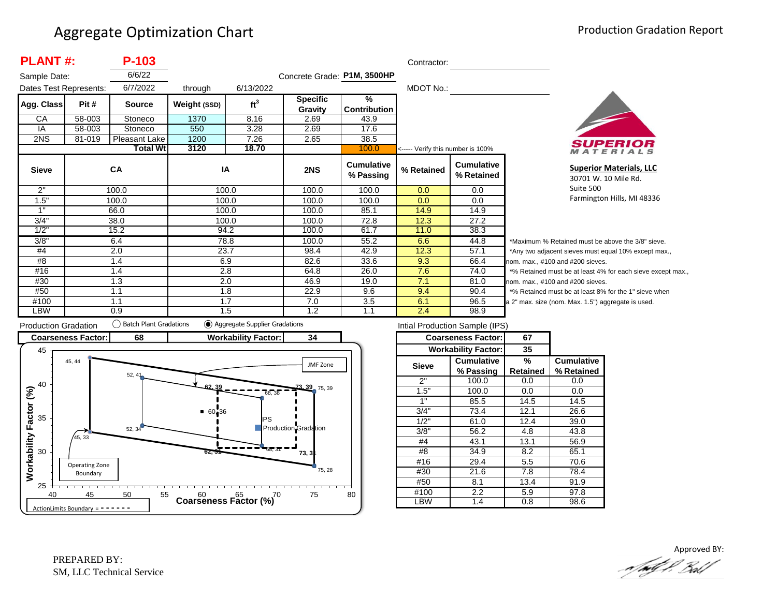| <b>PLANT#:</b>         |        | P-103           |              |                 |                             |                                      | Contractor:                       |                                 |       |
|------------------------|--------|-----------------|--------------|-----------------|-----------------------------|--------------------------------------|-----------------------------------|---------------------------------|-------|
| Sample Date:           |        | 6/6/22          |              |                 | Concrete Grade: P1M, 3500HP |                                      |                                   |                                 |       |
| Dates Test Represents: |        | 6/7/2022        | through      | 6/13/2022       |                             |                                      | MDOT No.:                         |                                 |       |
| Agg. Class             | Pit #  | <b>Source</b>   | Weight (SSD) | ft <sup>3</sup> | <b>Specific</b><br>Gravity  | $\frac{9}{6}$<br><b>Contribution</b> |                                   |                                 |       |
| CA                     | 58-003 | Stoneco         | 1370         | 8.16            | 2.69                        | 43.9                                 |                                   |                                 |       |
| IA                     | 58-003 | Stoneco         | 550          | 3.28            | 2.69                        | 17.6                                 |                                   |                                 |       |
| 2NS                    | 81-019 | Pleasant Lake   | 1200         | 7.26            | 2.65                        | 38.5                                 |                                   |                                 |       |
|                        |        | <b>Total Wt</b> | 3120         | 18.70           |                             | 100.0                                | <----- Verify this number is 100% |                                 |       |
| <b>Sieve</b>           |        | <b>CA</b>       | IA           |                 | 2NS                         | <b>Cumulative</b><br>% Passing       | % Retained                        | <b>Cumulative</b><br>% Retained |       |
| 2"                     |        | 100.0           |              | 100.0           | 100.0                       | 100.0                                | 0.0                               | 0.0                             |       |
| 1.5"                   |        | 100.0           |              | 100.0           | 100.0                       | 100.0                                | 0.0                               | 0.0                             |       |
| 1"                     |        | 66.0            |              | 100.0           | 100.0                       | 85.1                                 | 14.9                              | 14.9                            |       |
| 3/4"                   |        | 38.0            |              | 100.0           | 100.0                       | 72.8                                 | 12.3                              | 27.2                            |       |
| 1/2"                   |        | 15.2            |              | 94.2            | 100.0                       | 61.7                                 | 11.0                              | 38.3                            |       |
| 3/8"                   |        | 6.4             |              | 78.8            | 100.0                       | 55.2                                 | 6.6                               | 44.8                            |       |
| #4                     |        | 2.0             |              | 23.7            | 98.4                        | 42.9                                 | 12.3                              | 57.1                            |       |
| #8                     |        | 1.4             | 6.9          |                 | 82.6                        | 33.6                                 | 9.3                               | 66.4                            | nc    |
| #16                    |        | 1.4             |              | 2.8             | 64.8                        | 26.0                                 | 7.6                               | 74.0                            |       |
| #30                    |        | 1.3             |              | 2.0             | 46.9                        | 19.0                                 | 7.1                               | 81.0                            | nc    |
| #50                    |        | 1.1             |              | 1.8             | 22.9                        | 9.6                                  | 9.4                               | 90.4                            |       |
| #100                   |        | 1.1             |              | 1.7             | 7.0                         | 3.5                                  | 6.1                               | 96.5                            | $a$ : |
| LBW                    |        | 0.9             |              | 1.5             | 1.2                         | 1.1                                  | 2.4                               | 98.9                            |       |



**Superior Materials, LLC** 30701 W. 10 Mile Rd. Suite 500 Farmington Hills, MI 48336

Maximum % Retained must be above the 3/8" sieve. Any two adjacent sieves must equal 10% except max.,  $\mathsf{pm}$ . max., #100 and #200 sieves. % Retained must be at least 4% for each sieve except max., om. max., #100 and #200 sieves. % Retained must be at least 8% for the 1" sieve when 2" max. size (nom. Max. 1.5") aggregate is used.



| Intial Production Sample (IPS) |                            |          |                   |  |  |  |  |  |  |
|--------------------------------|----------------------------|----------|-------------------|--|--|--|--|--|--|
|                                | <b>Coarseness Factor:</b>  | 67       |                   |  |  |  |  |  |  |
|                                | <b>Workability Factor:</b> | 35       |                   |  |  |  |  |  |  |
| Sieve                          | Cumulative                 | %        | <b>Cumulative</b> |  |  |  |  |  |  |
|                                | % Passing                  | Retained | % Retained        |  |  |  |  |  |  |
| 2"                             | 100.0                      | 0.0      | 0.0               |  |  |  |  |  |  |
| 1.5"                           | 100.0                      | 0.0      | 0.0               |  |  |  |  |  |  |
| 1"                             | 85.5                       | 14.5     | 14.5              |  |  |  |  |  |  |
| 3/4"                           | 73.4                       | 12.1     | 26.6              |  |  |  |  |  |  |
| 1/2"                           | 61.0                       | 12.4     | 39.0              |  |  |  |  |  |  |
| 3/8"                           | 56.2                       | 4.8      | 43.8              |  |  |  |  |  |  |
| #4                             | 43.1                       | 13.1     | 56.9              |  |  |  |  |  |  |
| #8                             | 34.9                       | 8.2      | 65.1              |  |  |  |  |  |  |
| #16                            | 29.4                       | 5.5      | 70.6              |  |  |  |  |  |  |
| #30                            | 21.6                       | 7.8      | 78.4              |  |  |  |  |  |  |
| #50                            | 8.1                        |          | 91.9              |  |  |  |  |  |  |
| #100                           | 2.2                        | 5.9      | 97.8              |  |  |  |  |  |  |
| _BW                            | 1.4                        | 0.8      | 98.6              |  |  |  |  |  |  |

Approved BY:.a/ndf f, Bol/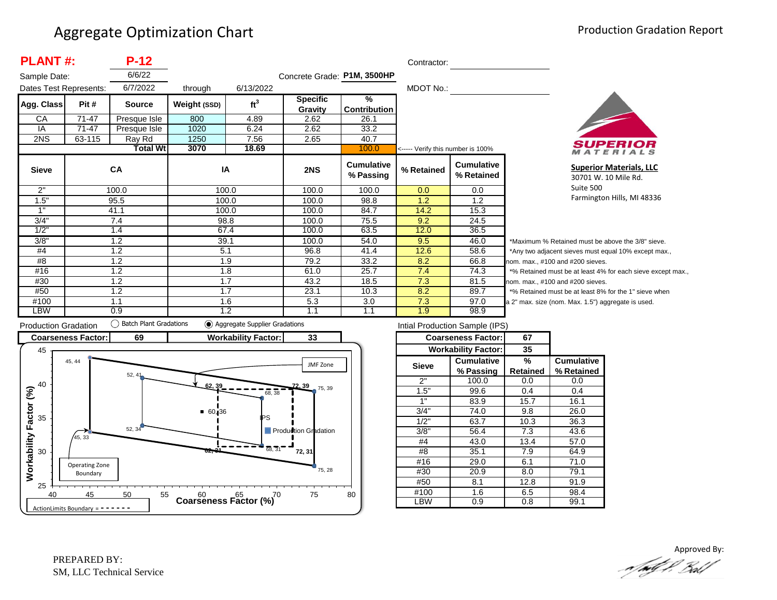| <b>PLANT#:</b>         |        | $P-12$          |              |                 |                             |                                | Contractor:                       |                                 |            |
|------------------------|--------|-----------------|--------------|-----------------|-----------------------------|--------------------------------|-----------------------------------|---------------------------------|------------|
| Sample Date:           |        | 6/6/22          |              |                 | Concrete Grade: P1M, 3500HP |                                |                                   |                                 |            |
| Dates Test Represents: |        | 6/7/2022        | through      | 6/13/2022       |                             |                                | MDOT No.:                         |                                 |            |
| Agg. Class             | Pit #  | <b>Source</b>   | Weight (SSD) | ft <sup>3</sup> | <b>Specific</b>             | %                              |                                   |                                 |            |
|                        |        |                 |              |                 | Gravity                     | <b>Contribution</b>            |                                   |                                 |            |
| CA                     | 71-47  | Presque Isle    | 800          | 4.89            | 2.62                        | 26.1                           |                                   |                                 |            |
| IA                     | 71-47  | Presque Isle    | 1020         | 6.24            | 2.62                        | 33.2                           |                                   |                                 |            |
| 2NS                    | 63-115 | Ray Rd          | 1250         | 7.56            | 2.65                        | 40.7                           |                                   |                                 |            |
|                        |        | <b>Total Wt</b> | 3070         | 18.69           |                             | 100.0                          | <----- Verify this number is 100% |                                 |            |
| <b>Sieve</b>           |        | CA              | IA           |                 | 2NS                         | <b>Cumulative</b><br>% Passing | % Retained                        | <b>Cumulative</b><br>% Retained |            |
| 2"                     |        | 100.0           |              | 100.0           | 100.0                       | 100.0                          | 0.0                               | 0.0                             |            |
| 1.5"                   |        | 95.5            |              | 100.0           | 100.0                       | 98.8                           | 1.2                               | 1.2                             |            |
| 1"                     |        | 41.1            |              | 100.0           | 100.0                       | 84.7                           | 14.2                              | 15.3                            |            |
| 3/4"                   |        | 7.4             |              | 98.8            | 100.0                       | 75.5                           | 9.2                               | 24.5                            |            |
| 1/2"                   |        | 1.4             |              | 67.4            | 100.0                       | 63.5                           | 12.0                              | 36.5                            |            |
| 3/8"                   |        | 1.2             | 39.1         |                 | 100.0                       | 54.0                           | 9.5                               | 46.0                            | *1         |
| #4                     |        | 1.2             | 5.1          |                 | 96.8                        | 41.4                           | 12.6                              | 58.6                            | $^{\star}$ |
| #8                     |        | 1.2             |              | 1.9             | 79.2                        | 33.2                           | 8.2                               | 66.8                            | nor        |
| #16                    |        | 1.2             |              | 1.8             | 61.0                        | 25.7                           | 7.4                               | 74.3                            | $*c$       |
| #30                    |        | 1.2             |              | 1.7             | 43.2                        | 18.5                           | 7.3                               | 81.5                            | nor        |
| #50                    |        | 1.2             |              | 1.7             | 23.1                        | 10.3                           | 8.2                               | 89.7                            | $\star$ c  |
| #100                   |        | 1.1             |              | 1.6             | 5.3                         | 3.0                            | 7.3                               | 97.0                            | a 2        |
| LBW                    |        | 0.9             |              | 1.2             | 1.1                         | 1.1                            | 1.9                               | 98.9                            |            |



**Superior Materials, LLC** 30701 W. 10 Mile Rd. Suite 500 Farmington Hills, MI 48336

Maximum % Retained must be above the 3/8" sieve. Any two adjacent sieves must equal 10% except max.,  $em.$  max.,  $#100$  and  $#200$  sieves. % Retained must be at least 4% for each sieve except max.,  $km.$  max.,  $#100$  and  $#200$  sieves. % Retained must be at least 8% for the 1" sieve when 2" max. size (nom. Max. 1.5") aggregate is used.



| Intial Production Sample (IPS) |                            |          |                   |  |  |  |  |  |  |
|--------------------------------|----------------------------|----------|-------------------|--|--|--|--|--|--|
|                                | <b>Coarseness Factor:</b>  | 67       |                   |  |  |  |  |  |  |
|                                | <b>Workability Factor:</b> | 35       |                   |  |  |  |  |  |  |
| <b>Sieve</b>                   | <b>Cumulative</b>          | %        | <b>Cumulative</b> |  |  |  |  |  |  |
|                                | % Passing                  | Retained | % Retained        |  |  |  |  |  |  |
| 2"                             | 100.0                      | 0.0      | 0.0               |  |  |  |  |  |  |
| 1.5"                           | 99.6                       | 0.4      | 0.4               |  |  |  |  |  |  |
| 1"                             | 83.9                       | 15.7     | 16.1              |  |  |  |  |  |  |
| 3/4"                           | 74.0                       | 9.8      | 26.0              |  |  |  |  |  |  |
| 1/2"                           | 63.7                       | 10.3     | 36.3              |  |  |  |  |  |  |
| 3/8"                           | 56.4                       | 7.3      | 43.6              |  |  |  |  |  |  |
| #4                             | 43.0                       | 13.4     | 57.0              |  |  |  |  |  |  |
| #8                             | 35.1                       | 7.9      | 64.9              |  |  |  |  |  |  |
| #16                            | 29.0                       | 6.1      | 71.0              |  |  |  |  |  |  |
| #30                            | 20.9                       | 8.0      | 79.1              |  |  |  |  |  |  |
| #50                            | 8.1                        | 12.8     | 91.9              |  |  |  |  |  |  |
| #100                           | 1.6                        | 6.5      | 98.4              |  |  |  |  |  |  |
| -BW                            | 0.9                        | 0.8      | 99.1              |  |  |  |  |  |  |

Approved By:<br>Approved By: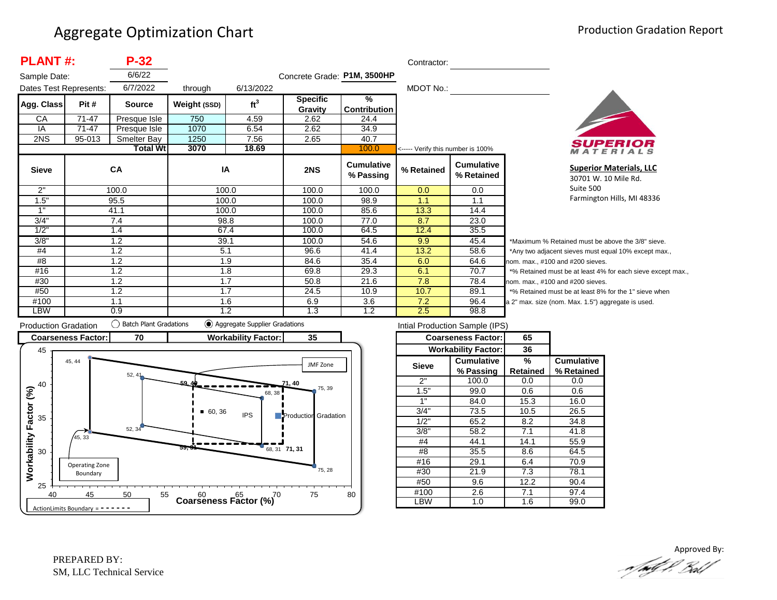| <b>PLANT#:</b> |                                    | $P-32$          |              |                 |                             |                                      | Contractor:                       |                                 |  |
|----------------|------------------------------------|-----------------|--------------|-----------------|-----------------------------|--------------------------------------|-----------------------------------|---------------------------------|--|
| Sample Date:   |                                    | 6/6/22          |              |                 | Concrete Grade: P1M, 3500HP |                                      |                                   |                                 |  |
|                | 6/7/2022<br>Dates Test Represents: |                 | through      | 6/13/2022       |                             |                                      | MDOT No.:                         |                                 |  |
| Agg. Class     | Pit #                              | <b>Source</b>   | Weight (SSD) | ft <sup>3</sup> | <b>Specific</b><br>Gravity  | $\frac{9}{6}$<br><b>Contribution</b> |                                   |                                 |  |
| CA             | $71 - 47$                          | Presque Isle    | 750          | 4.59            | 2.62                        | 24.4                                 |                                   |                                 |  |
| IA             | 71-47                              | Presque Isle    | 1070         | 6.54            | 2.62                        | 34.9                                 |                                   |                                 |  |
| 2NS            | 95-013                             | Smelter Bay     | 1250         | 7.56            | 2.65                        | 40.7                                 |                                   |                                 |  |
|                |                                    | <b>Total Wt</b> | 3070         | 18.69           |                             | 100.0                                | <----- Verify this number is 100% |                                 |  |
| <b>Sieve</b>   |                                    | <b>CA</b>       | IA           |                 | 2NS                         | <b>Cumulative</b><br>% Passing       | % Retained                        | <b>Cumulative</b><br>% Retained |  |
| 2"             |                                    | 100.0           |              | 100.0           | 100.0                       | 100.0                                | 0.0                               | 0.0                             |  |
| 1.5"           |                                    | 95.5            |              | 100.0           | 100.0                       | 98.9                                 | 1.1                               | 1.1                             |  |
| 1"             |                                    | 41.1            |              | 100.0           | 100.0                       | 85.6                                 | 13.3                              | 14.4                            |  |
| 3/4"           |                                    | 7.4             | 98.8         |                 | 100.0                       | 77.0                                 | 8.7                               | 23.0                            |  |
| 1/2"           |                                    | 1.4             |              | 67.4            | 100.0                       | 64.5                                 | 12.4                              | 35.5                            |  |
| 3/8"           |                                    | 1.2             | 39.1         |                 | 100.0                       | 54.6                                 | 9.9                               | 45.4                            |  |
| #4             |                                    | 1.2             | 5.1          |                 | 96.6                        | 41.4                                 | 13.2                              | 58.6                            |  |
| #8             |                                    | 1.2             |              | 1.9             | 84.6                        | 35.4                                 | 6.0                               | 64.6<br>nc                      |  |
| #16            |                                    | 1.2             | 1.8          |                 | 69.8                        | 29.3                                 | 6.1                               | 70.7                            |  |
| #30            |                                    | 1.2             |              | 1.7             | 50.8                        | 21.6                                 | 7.8                               | 78.4<br>nc                      |  |
| #50            |                                    | 1.2             |              | 1.7             | 24.5                        | 10.9                                 | 10.7                              | 89.1                            |  |
| #100           |                                    | 1.1             |              | 1.6             | 6.9                         | 3.6                                  | 7.2                               | 96.4<br>a:                      |  |
| LBW            |                                    | 0.9             |              | 1.2             | 1.3                         | 1.2                                  | 2.5                               | 98.8                            |  |



**Superior Materials, LLC** 30701 W. 10 Mile Rd. Suite 500 Farmington Hills, MI 48336

Maximum % Retained must be above the 3/8" sieve. Any two adjacent sieves must equal 10% except max.,  $\mathsf{pm}$ . max., #100 and #200 sieves. % Retained must be at least 4% for each sieve except max.,  $om.$  max.,  $#100$  and  $#200$  sieves. % Retained must be at least 8% for the 1" sieve when 2" max. size (nom. Max. 1.5") aggregate is used.



| Intial Production Sample (IPS) |                            |          |                   |  |  |  |  |  |  |
|--------------------------------|----------------------------|----------|-------------------|--|--|--|--|--|--|
|                                | <b>Coarseness Factor:</b>  | 65       |                   |  |  |  |  |  |  |
|                                | <b>Workability Factor:</b> | 36       |                   |  |  |  |  |  |  |
| <b>Sieve</b>                   | <b>Cumulative</b>          | %        | <b>Cumulative</b> |  |  |  |  |  |  |
|                                | % Passing                  | Retained | % Retained        |  |  |  |  |  |  |
| 2"                             | 100.0                      | 0.0      | 0.0               |  |  |  |  |  |  |
| 1.5"                           | 99.0                       | 0.6      | 0.6               |  |  |  |  |  |  |
| 1"                             | 84.0                       | 15.3     | 16.0              |  |  |  |  |  |  |
| 3/4"                           | 73.5                       | 10.5     | 26.5              |  |  |  |  |  |  |
| 1/2"                           | 65.2                       | 8.2      | 34.8              |  |  |  |  |  |  |
| 3/8"                           | 58.2                       | 7.1      | 41.8              |  |  |  |  |  |  |
| #4                             | 44.1                       | 14.1     | 55.9              |  |  |  |  |  |  |
| #8                             | 35.5                       | 8.6      | 64.5              |  |  |  |  |  |  |
| #16                            | 29.1                       | 6.4      | 70.9              |  |  |  |  |  |  |
| #30                            | 21.9                       | 7.3      | 78.1              |  |  |  |  |  |  |
| #50                            | 9.6                        | 12.2     | 90.4              |  |  |  |  |  |  |
| #100                           | 2.6                        | 7.1      | 97.4              |  |  |  |  |  |  |
| -BW                            | 1.0                        | 1.6      | 99.0              |  |  |  |  |  |  |
|                                |                            |          |                   |  |  |  |  |  |  |

Approved By:<br>Approved By: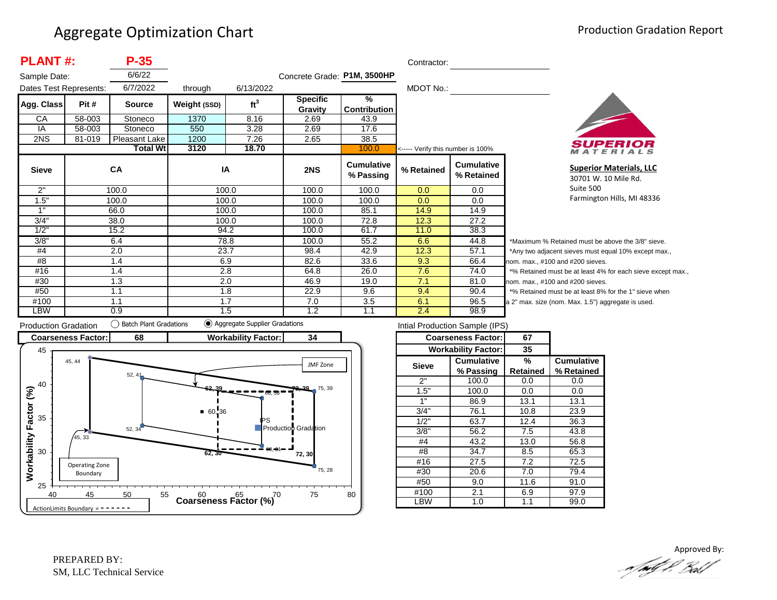| <b>PLANT#:</b>         |        | $P-35$          | Contractor:  |                 |                             |                                      |                                   |                                 |            |
|------------------------|--------|-----------------|--------------|-----------------|-----------------------------|--------------------------------------|-----------------------------------|---------------------------------|------------|
| Sample Date:           |        | 6/6/22          |              |                 | Concrete Grade: P1M, 3500HP |                                      |                                   |                                 |            |
| Dates Test Represents: |        | 6/7/2022        | through      | 6/13/2022       |                             |                                      | MDOT No.:                         |                                 |            |
| Agg. Class             | Pit #  | <b>Source</b>   | Weight (SSD) | ft <sup>3</sup> | <b>Specific</b><br>Gravity  | $\frac{9}{6}$<br><b>Contribution</b> |                                   |                                 |            |
| CA                     | 58-003 | Stoneco         | 1370         | 8.16            | 2.69                        | 43.9                                 |                                   |                                 |            |
| IA                     | 58-003 | Stoneco         | 550          | 3.28            | 2.69                        | 17.6                                 |                                   |                                 |            |
| 2NS                    | 81-019 | Pleasant Lake   | 1200         | 7.26            | 2.65                        | 38.5                                 |                                   |                                 |            |
|                        |        | <b>Total Wt</b> | 3120         | 18.70           |                             | 100.0                                | <----- Verify this number is 100% |                                 |            |
| <b>Sieve</b>           |        | <b>CA</b>       | IA           |                 | 2NS                         | <b>Cumulative</b><br>% Passing       | % Retained                        | <b>Cumulative</b><br>% Retained |            |
| 2"                     |        | 100.0           |              | 100.0           | 100.0                       | 100.0                                | 0.0                               | 0.0                             |            |
| 1.5"                   |        | 100.0           |              | 100.0           | 100.0                       | 100.0                                | 0.0                               | 0.0                             |            |
| 1"                     |        | 66.0            | 100.0        |                 | 100.0                       | 85.1                                 | 14.9                              | 14.9                            |            |
| 3/4"                   |        | 38.0            |              | 100.0           | 100.0                       | 72.8                                 | 12.3                              | 27.2                            |            |
| 1/2"                   |        | 15.2            | 94.2         |                 | 100.0                       | 61.7                                 | 11.0                              | 38.3                            |            |
| 3/8"                   |        | 6.4             |              | 78.8            | 100.0                       | 55.2                                 | 6.6                               | 44.8                            | *1         |
| #4                     |        | 2.0             | 23.7         |                 | 98.4                        | 42.9                                 | 12.3                              | 57.1                            | $^{\star}$ |
| #8                     |        | 1.4             | 6.9          |                 | 82.6                        | 33.6                                 | 9.3                               | 66.4                            | nor        |
| #16                    |        | 1.4             | 2.8          |                 | 64.8                        | 26.0                                 | 7.6                               | 74.0                            | $*c$       |
| #30                    |        | 1.3             |              | 2.0             | 46.9                        | 19.0                                 | 7.1                               | 81.0                            | no         |
| #50                    |        | 1.1             |              | 1.8             | 22.9                        | 9.6                                  | 9.4                               | 90.4                            | $\star$ c  |
| #100                   |        | 1.1             | 1.7          |                 | 7.0                         | 3.5                                  | 6.1                               | 96.5                            | a 2        |
| LBW                    |        | 0.9             |              | 1.5             | 1.2                         | 1.1                                  | 2.4                               | 98.9                            |            |



**Superior Materials, LLC** 30701 W. 10 Mile Rd. Suite 500 Farmington Hills, MI 48336

Maximum % Retained must be above the 3/8" sieve. Any two adjacent sieves must equal 10% except max.,  $em.$  max.,  $#100$  and  $#200$  sieves. % Retained must be at least 4% for each sieve except max.,  $km.$  max.,  $#100$  and  $#200$  sieves. % Retained must be at least 8% for the 1" sieve when 2" max. size (nom. Max. 1.5") aggregate is used.



| Intial Production Sample (IPS) |                            |                 |                   |  |  |  |  |  |  |
|--------------------------------|----------------------------|-----------------|-------------------|--|--|--|--|--|--|
|                                | <b>Coarseness Factor:</b>  | 67              |                   |  |  |  |  |  |  |
|                                | <b>Workability Factor:</b> | 35              |                   |  |  |  |  |  |  |
| <b>Sieve</b>                   | <b>Cumulative</b>          | %               | <b>Cumulative</b> |  |  |  |  |  |  |
|                                | % Passing                  | <b>Retained</b> | % Retained        |  |  |  |  |  |  |
| 2"                             | 100.0                      | 0.0             | 0.0               |  |  |  |  |  |  |
| 1.5"                           | 100.0                      | 0.0             | 0.0               |  |  |  |  |  |  |
| 1"                             | 86.9                       | 13.1            | 13.1              |  |  |  |  |  |  |
| 3/4"                           | 76.1                       | 10.8            | 23.9              |  |  |  |  |  |  |
| 1/2"                           | 63.7                       | 12.4            | 36.3              |  |  |  |  |  |  |
| 3/8"                           | 56.2                       | 7.5             | 43.8              |  |  |  |  |  |  |
| #4                             | 43.2                       | 13.0            | 56.8              |  |  |  |  |  |  |
| #8                             | 34.7                       | 8.5             | 65.3              |  |  |  |  |  |  |
| #16                            | 27.5                       | 7.2             | 72.5              |  |  |  |  |  |  |
| #30                            | 20.6                       | 7.0             | 79.4              |  |  |  |  |  |  |
| #50                            | 9.0                        | 11.6            | 91.0              |  |  |  |  |  |  |
| #100                           | 2.1                        | 6.9             | 97.9              |  |  |  |  |  |  |
| <b>BW</b>                      | 1.0                        | 1.1             | 99.0              |  |  |  |  |  |  |
|                                |                            |                 |                   |  |  |  |  |  |  |

Approved By:<br>Approved By: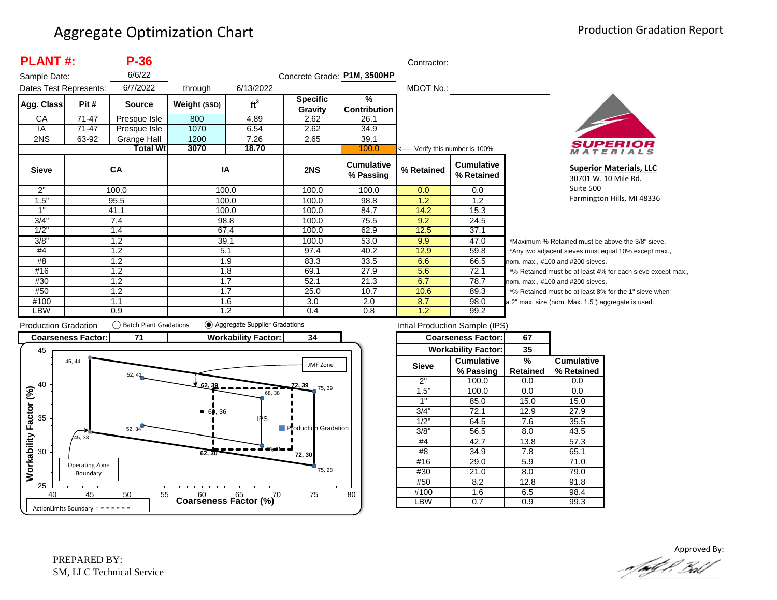| <b>PLANT#:</b>         |       | <b>P-36</b>   |              |                      |                             |                                      | Contractor:                       |                                 |          |
|------------------------|-------|---------------|--------------|----------------------|-----------------------------|--------------------------------------|-----------------------------------|---------------------------------|----------|
| Sample Date:           |       | 6/6/22        |              |                      | Concrete Grade: P1M, 3500HP |                                      |                                   |                                 |          |
| Dates Test Represents: |       | 6/7/2022      | through      | 6/13/2022            |                             |                                      | MDOT No.:                         |                                 |          |
| Agg. Class             | Pit # | <b>Source</b> | Weight (SSD) | ft <sup>3</sup>      | <b>Specific</b><br>Gravity  | $\frac{9}{6}$<br><b>Contribution</b> |                                   |                                 |          |
| CA                     | 71-47 | Presque Isle  | 800          | 4.89                 | 2.62                        | 26.1                                 |                                   |                                 |          |
| IA                     | 71-47 | Presque Isle  | 1070         | 6.54                 | 2.62                        | 34.9                                 |                                   |                                 |          |
| 2NS                    | 63-92 | Grange Hall   | 1200         | 7.26<br>2.65<br>39.1 |                             |                                      |                                   |                                 |          |
|                        |       | Total Wtl     | 3070         | 18.70                |                             | 100.0                                | <----- Verify this number is 100% |                                 |          |
| <b>Sieve</b>           | CA    |               | IA           |                      | 2NS                         | <b>Cumulative</b><br>% Passing       | % Retained                        | <b>Cumulative</b><br>% Retained |          |
| 2"                     |       | 100.0         |              | 100.0                | 100.0                       | 100.0                                | 0.0                               | 0.0                             |          |
| 1.5"                   |       | 95.5          |              | 100.0                | 100.0                       | 98.8                                 | 1.2                               | 1.2                             |          |
| 1"                     |       | 41.1          |              | 100.0                | 100.0                       | 84.7                                 | 14.2                              | 15.3                            |          |
| 3/4"                   |       | 7.4           |              | 98.8                 | 100.0                       | 75.5                                 | 9.2                               | 24.5                            |          |
| 1/2"                   |       | 1.4           |              | 67.4                 | 100.0                       | 62.9                                 | 12.5                              | 37.1                            |          |
| 3/8"                   | 1.2   |               | 39.1         |                      | 100.0                       | 53.0                                 | 9.9                               | 47.0                            | $^\star$ |
| #4                     | 1.2   |               | 5.1          |                      | 97.4                        | 40.2                                 | 12.9                              | 59.8                            |          |
| #8                     | 1.2   |               | 1.9          |                      | 83.3                        | 33.5                                 | 6.6                               | 66.5                            | no       |
| #16                    | 1.2   |               | 1.8          |                      | 69.1                        | 27.9                                 | 5.6                               | 72.1                            | $\star$  |
| #30                    |       | 1.2           | 1.7          |                      | 52.1                        | 21.3                                 | 6.7                               | 78.7                            | no       |
| #50                    |       | 1.2           | 1.7          |                      | 25.0                        | 10.7                                 | 10.6                              | 89.3                            |          |
| #100                   |       | 1.1<br>1.6    |              |                      | 3.0                         | 2.0                                  | 8.7                               | 98.0                            | a 2      |
| <b>LBW</b>             |       | 0.9           |              | 1.2                  | 0.4                         | 0.8                                  | 1.2                               | 99.2                            |          |



**Superior Materials, LLC** 30701 W. 10 Mile Rd. Suite 500 Farmington Hills, MI 48336

Maximum % Retained must be above the 3/8" sieve. Any two adjacent sieves must equal 10% except max.,  $km.$  max.,  $#100$  and  $#200$  sieves. % Retained must be at least 4% for each sieve except max.,  $km.$  max.,  $#100$  and  $#200$  sieves. % Retained must be at least 8% for the 1" sieve when 2" max. size (nom. Max. 1.5") aggregate is used.



|              | Intial Production Sample (IPS) |          |                   |  |
|--------------|--------------------------------|----------|-------------------|--|
|              | <b>Coarseness Factor:</b>      | 67       |                   |  |
|              | <b>Workability Factor:</b>     | 35       |                   |  |
| <b>Sieve</b> | <b>Cumulative</b>              | %        | <b>Cumulative</b> |  |
|              | % Passing                      | Retained | % Retained        |  |
| 2"           | 100.0                          | 0.0      | 0.0               |  |
| 1.5"         | 100.0                          | 0.0      | 0.0               |  |
| 1"           | 85.0                           | 15.0     | 15.0              |  |
| 3/4"         | 72.1                           | 12.9     | 27.9              |  |
| 1/2"         | 64.5                           | 7.6      | 35.5              |  |
| 3/8"         | 56.5                           | 8.0      | 43.5              |  |
| #4           | 42.7                           | 13.8     | 57.3              |  |
| #8           | 34.9                           | 7.8      | 65.1              |  |
| #16          | 29.0                           | 5.9      | 71.0              |  |
| #30          | 21.0                           | 8.0      | 79.0              |  |
| #50          | 8.2                            | 12.8     | 91.8              |  |
| #100         | 1.6                            | 6.5      | 98.4              |  |
| LBW          | 0.7                            | 0.9      | 99.3              |  |

Approved By:<br>Approved By: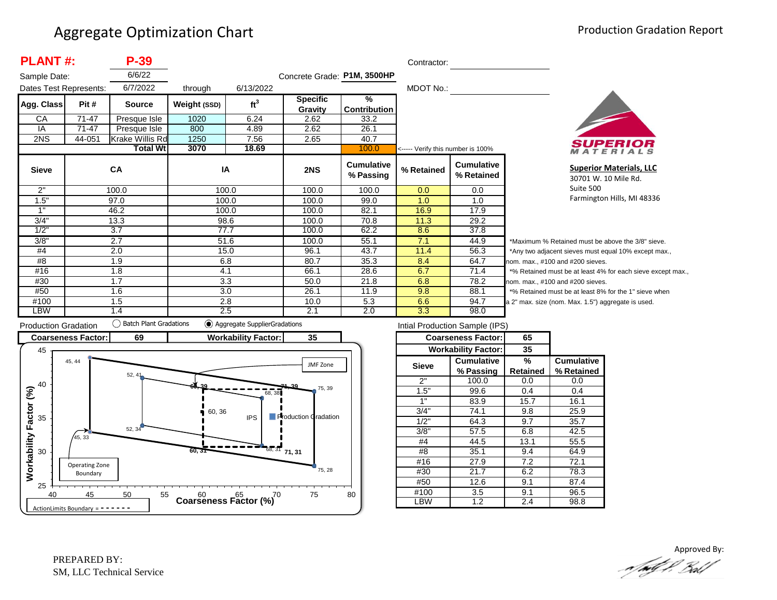| <b>PLANT#:</b>         |           | $P-39$          |              |                 |                             |                                | Contractor:                       |                                 |              |
|------------------------|-----------|-----------------|--------------|-----------------|-----------------------------|--------------------------------|-----------------------------------|---------------------------------|--------------|
| Sample Date:           |           | 6/6/22          |              |                 | Concrete Grade: P1M, 3500HP |                                |                                   |                                 |              |
| Dates Test Represents: |           | 6/7/2022        | through      | 6/13/2022       |                             |                                | MDOT No.:                         |                                 |              |
| Agg. Class             | Pit #     | <b>Source</b>   | Weight (SSD) | ft <sup>3</sup> | <b>Specific</b>             | $\frac{9}{6}$                  |                                   |                                 |              |
|                        |           |                 |              |                 | Gravity                     | <b>Contribution</b>            |                                   |                                 |              |
| CA                     | $71 - 47$ | Presque Isle    | 1020         | 6.24            | 2.62                        | 33.2                           |                                   |                                 |              |
| IA                     | $71 - 47$ | Presque Isle    | 800          | 4.89            | 2.62                        | 26.1                           |                                   |                                 |              |
| 2NS                    | 44-051    | Krake Willis Rd | 1250         | 7.56            | 2.65                        | 40.7                           |                                   |                                 |              |
|                        |           | <b>Total Wt</b> | 3070         | 18.69           |                             | 100.0                          | <----- Verify this number is 100% |                                 |              |
| <b>Sieve</b>           |           | CA              | IA           |                 | 2NS                         | <b>Cumulative</b><br>% Passing | % Retained                        | <b>Cumulative</b><br>% Retained |              |
| 2"                     |           | 100.0           | 100.0        |                 | 100.0                       | 100.0                          | 0.0                               | 0.0                             |              |
| 1.5"                   |           | 97.0            | 100.0        |                 | 100.0                       | 99.0                           | 1.0                               | 1.0                             |              |
| 1"                     |           | 46.2            | 100.0        |                 | 100.0                       | 82.1                           | 16.9                              | 17.9                            |              |
| 3/4"                   |           | 13.3            | 98.6         |                 | 100.0                       | 70.8                           | 11.3                              | 29.2                            |              |
| 1/2"                   |           | 3.7             | 77.7         |                 | 100.0                       | 62.2                           | 8.6                               | 37.8                            |              |
| 3/8"                   |           | 2.7             | 51.6         |                 | 100.0                       | 55.1                           | 7.1                               | 44.9                            | $*_{N}$      |
| #4                     | 2.0       |                 | 15.0         |                 | 96.1                        | 43.7                           | 11.4                              | 56.3                            | $*_{A}$      |
| #8                     | 1.9       |                 | 6.8          |                 | 80.7                        | 35.3                           | 8.4                               | 64.7                            | non          |
| #16                    | 1.8       |                 | 4.1          |                 | 66.1                        | 28.6                           | 6.7                               | 71.4                            | $*_{\alpha}$ |
| #30                    |           | 1.7             |              | 3.3             | 50.0                        | 21.8                           | 6.8                               | 78.2                            | non          |
| #50                    |           | 1.6<br>3.0      |              |                 | 26.1                        | 11.9                           | 9.8                               | 88.1                            | $*_{\alpha}$ |
| #100                   |           | 1.5<br>2.8      |              |                 | 10.0                        | 5.3                            | 6.6                               | 94.7                            | a 2'         |
| LBW                    |           | 1.4             | 2.5          |                 | 2.1                         | 2.0                            | 3.3                               | 98.0                            |              |



**Superior Materials, LLC** 30701 W. 10 Mile Rd. Suite 500 Farmington Hills, MI 48336

Maximum % Retained must be above the 3/8" sieve. Any two adjacent sieves must equal 10% except max., m. max., #100 and #200 sieves. % Retained must be at least 4% for each sieve except max., m. max., #100 and #200 sieves. % Retained must be at least 8% for the 1" sieve when " max. size (nom. Max. 1.5") aggregate is used.



|              | Intial Production Sample (IPS) |          |                   |  |
|--------------|--------------------------------|----------|-------------------|--|
|              | <b>Coarseness Factor:</b>      | 65       |                   |  |
|              | <b>Workability Factor:</b>     | 35       |                   |  |
| <b>Sieve</b> | <b>Cumulative</b>              | %        | <b>Cumulative</b> |  |
|              | % Passing                      | Retained | % Retained        |  |
| 2"           | 100.0                          | 0.0      | 0.0               |  |
| 1.5"         | 99.6                           | 0.4      | 0.4               |  |
| 1"           | 83.9                           | 15.7     | 16.1              |  |
| 3/4"         | 74.1                           | 9.8      | 25.9              |  |
| 1/2"         | 64.3                           | 9.7      | 35.7              |  |
| 3/8"         | 57.5                           | 6.8      | 42.5              |  |
| #4           | 44.5                           | 13.1     | 55.5              |  |
| #8           | 35.1                           | 9.4      | 64.9              |  |
| #16          | 27.9                           | 7.2      | 72.1              |  |
| #30          | 21.7                           |          | 78.3              |  |
| #50          | 12.6                           |          | 87.4              |  |
| #100         | 3.5                            |          | 96.5              |  |
| _BW          | 1.2                            | 2.4      | 98.8              |  |

Approved By:<br>Approved By: